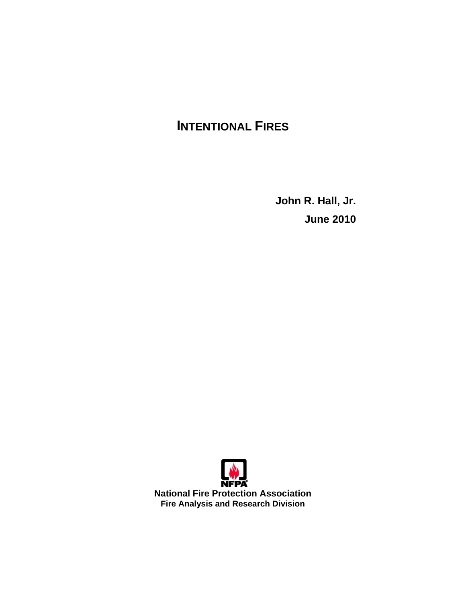# **INTENTIONAL FIRES**

**John R. Hall, Jr. June 2010** 



**National Fire Protection Association Fire Analysis and Research Division**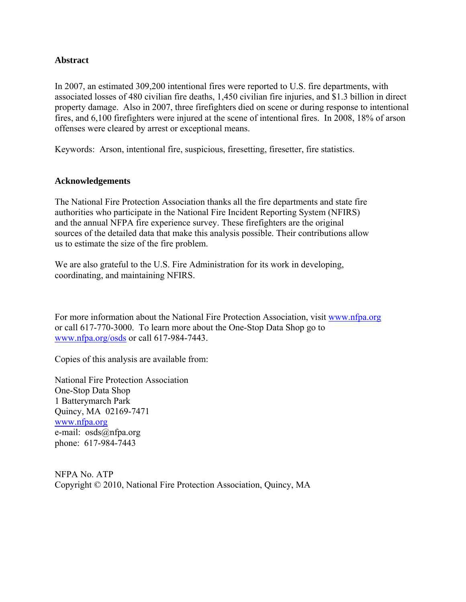#### **Abstract**

In 2007, an estimated 309,200 intentional fires were reported to U.S. fire departments, with associated losses of 480 civilian fire deaths, 1,450 civilian fire injuries, and \$1.3 billion in direct property damage. Also in 2007, three firefighters died on scene or during response to intentional fires, and 6,100 firefighters were injured at the scene of intentional fires. In 2008, 18% of arson offenses were cleared by arrest or exceptional means.

Keywords: Arson, intentional fire, suspicious, firesetting, firesetter, fire statistics.

#### **Acknowledgements**

The National Fire Protection Association thanks all the fire departments and state fire authorities who participate in the National Fire Incident Reporting System (NFIRS) and the annual NFPA fire experience survey. These firefighters are the original sources of the detailed data that make this analysis possible. Their contributions allow us to estimate the size of the fire problem.

We are also grateful to the U.S. Fire Administration for its work in developing, coordinating, and maintaining NFIRS.

For more information about the National Fire Protection Association, visit [www.nfpa.org](http://www.nfpa.org) or call 617-770-3000. To learn more about the One-Stop Data Shop go to [www.nfpa.org/osds or](http://www.nfpa.org/osds) call 617-984-7443.

Copies of this analysis are available from:

National Fire Protection Association One-Stop Data Shop 1 Batterymarch Park Quincy, MA 02169-7471 [www.nfpa.org](http://www.nfpa.org)  e-mail: [osds@nfpa.org](mailto:osds@nfpa.org)  phone: 617-984-7443

NFPA No. ATP Copyright © 2010, National Fire Protection Association, Quincy, MA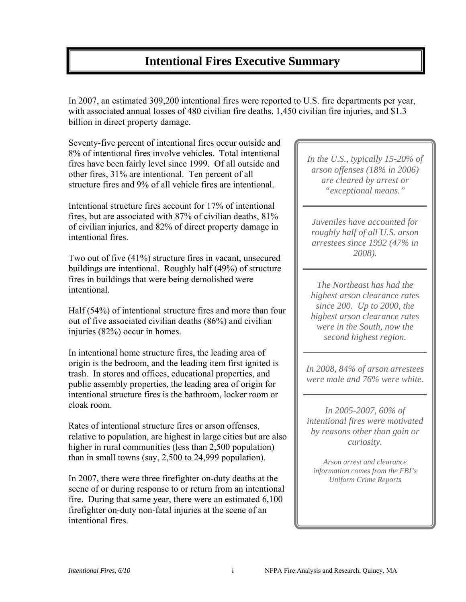## **Intentional Fires Executive Summary**

In 2007, an estimated 309,200 intentional fires were reported to U.S. fire departments per year, with associated annual losses of 480 civilian fire deaths, 1,450 civilian fire injuries, and \$1.3 billion in direct property damage.

Seventy-five percent of intentional fires occur outside and 8% of intentional fires involve vehicles. Total intentional fires have been fairly level since 1999. Of all outside and other fires, 31% are intentional. Ten percent of all structure fires and 9% of all vehicle fires are intentional.

Intentional structure fires account for 17% of intentional fires, but are associated with 87% of civilian deaths, 81% of civilian injuries, and 82% of direct property damage in intentional fires.

Two out of five (41%) structure fires in vacant, unsecured buildings are intentional. Roughly half (49%) of structure fires in buildings that were being demolished were intentional.

Half (54%) of intentional structure fires and more than four out of five associated civilian deaths (86%) and civilian injuries (82%) occur in homes.

In intentional home structure fires, the leading area of origin is the bedroom, and the leading item first ignited is trash. In stores and offices, educational properties, and public assembly properties, the leading area of origin for intentional structure fires is the bathroom, locker room or cloak room.

Rates of intentional structure fires or arson offenses, relative to population, are highest in large cities but are also higher in rural communities (less than 2,500 population) than in small towns (say, 2,500 to 24,999 population).

In 2007, there were three firefighter on-duty deaths at the scene of or during response to or return from an intentional fire. During that same year, there were an estimated 6,100 firefighter on-duty non-fatal injuries at the scene of an intentional fires.

*In the U.S., typically 15-20% of arson offenses (18% in 2006) are cleared by arrest or "exceptional means."* 

*Juveniles have accounted for roughly half of all U.S. arson arrestees since 1992 (47% in 2008).* 

*The Northeast has had the highest arson clearance rates since 200. Up to 2000, the highest arson clearance rates were in the South, now the second highest region.* 

*In 2008, 84% of arson arrestees were male and 76% were white.* 

*In 2005-2007, 60% of intentional fires were motivated by reasons other than gain or curiosity.* 

*Arson arrest and clearance information comes from the FBI's Uniform Crime Reports*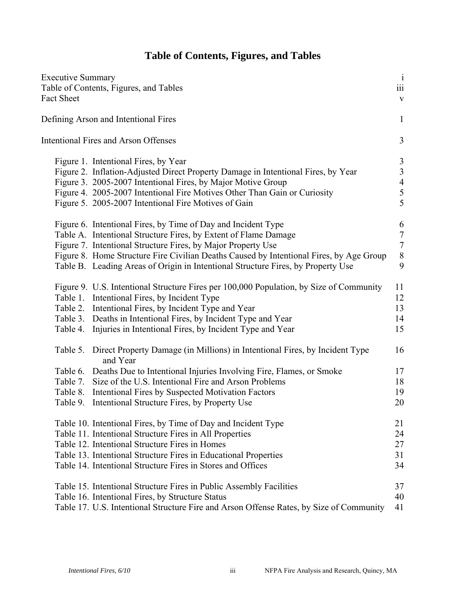### **Table of Contents, Figures, and Tables**

| <b>Executive Summary</b><br>Table of Contents, Figures, and Tables<br><b>Fact Sheet</b>                                                                                                                                                                                                                                                                                         | $\mathbf{i}$<br>$\overline{\text{iii}}$<br>$\mathbf{V}$           |
|---------------------------------------------------------------------------------------------------------------------------------------------------------------------------------------------------------------------------------------------------------------------------------------------------------------------------------------------------------------------------------|-------------------------------------------------------------------|
| Defining Arson and Intentional Fires                                                                                                                                                                                                                                                                                                                                            | $\mathbf{1}$                                                      |
| <b>Intentional Fires and Arson Offenses</b>                                                                                                                                                                                                                                                                                                                                     | 3                                                                 |
| Figure 1. Intentional Fires, by Year<br>Figure 2. Inflation-Adjusted Direct Property Damage in Intentional Fires, by Year<br>Figure 3. 2005-2007 Intentional Fires, by Major Motive Group<br>Figure 4. 2005-2007 Intentional Fire Motives Other Than Gain or Curiosity<br>Figure 5. 2005-2007 Intentional Fire Motives of Gain                                                  | $\mathfrak{Z}$<br>$\mathfrak{Z}$<br>$\overline{4}$<br>$rac{5}{5}$ |
| Figure 6. Intentional Fires, by Time of Day and Incident Type<br>Table A. Intentional Structure Fires, by Extent of Flame Damage<br>Figure 7. Intentional Structure Fires, by Major Property Use<br>Figure 8. Home Structure Fire Civilian Deaths Caused by Intentional Fires, by Age Group<br>Table B. Leading Areas of Origin in Intentional Structure Fires, by Property Use | 6<br>$\overline{7}$<br>$\boldsymbol{7}$<br>$8\,$<br>9             |
| Figure 9. U.S. Intentional Structure Fires per 100,000 Population, by Size of Community<br>Table 1. Intentional Fires, by Incident Type<br>Table 2. Intentional Fires, by Incident Type and Year<br>Table 3. Deaths in Intentional Fires, by Incident Type and Year<br>Table 4.<br>Injuries in Intentional Fires, by Incident Type and Year                                     | 11<br>12<br>13<br>14<br>15                                        |
| Table 5. Direct Property Damage (in Millions) in Intentional Fires, by Incident Type<br>and Year<br>Table 6. Deaths Due to Intentional Injuries Involving Fire, Flames, or Smoke<br>Table 7. Size of the U.S. Intentional Fire and Arson Problems<br>Table 8. Intentional Fires by Suspected Motivation Factors<br>Table 9. Intentional Structure Fires, by Property Use        | 16<br>17<br>18<br>19<br>20                                        |
| Table 10. Intentional Fires, by Time of Day and Incident Type<br>Table 11. Intentional Structure Fires in All Properties<br>Table 12. Intentional Structure Fires in Homes<br>Table 13. Intentional Structure Fires in Educational Properties<br>Table 14. Intentional Structure Fires in Stores and Offices                                                                    | 21<br>24<br>27<br>31<br>34                                        |
| Table 15. Intentional Structure Fires in Public Assembly Facilities<br>Table 16. Intentional Fires, by Structure Status<br>Table 17. U.S. Intentional Structure Fire and Arson Offense Rates, by Size of Community                                                                                                                                                              | 37<br>40<br>41                                                    |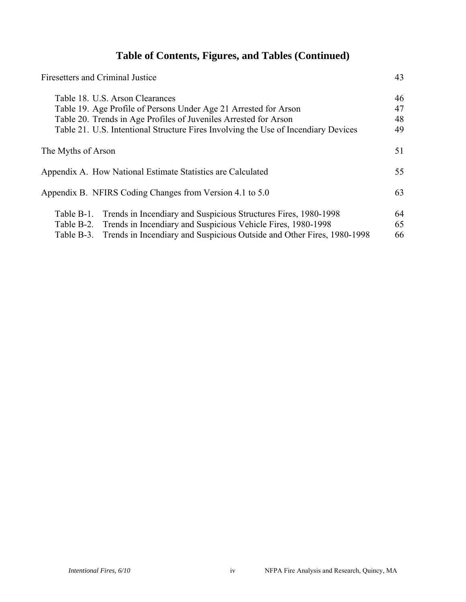### **Table of Contents, Figures, and Tables (Continued)**

| <b>Firesetters and Criminal Justice</b>                                              | 43 |
|--------------------------------------------------------------------------------------|----|
| Table 18. U.S. Arson Clearances                                                      | 46 |
| Table 19. Age Profile of Persons Under Age 21 Arrested for Arson                     | 47 |
| Table 20. Trends in Age Profiles of Juveniles Arrested for Arson                     | 48 |
| Table 21. U.S. Intentional Structure Fires Involving the Use of Incendiary Devices   | 49 |
| The Myths of Arson                                                                   | 51 |
| Appendix A. How National Estimate Statistics are Calculated                          | 55 |
| Appendix B. NFIRS Coding Changes from Version 4.1 to 5.0                             | 63 |
| Trends in Incendiary and Suspicious Structures Fires, 1980-1998<br>Table B-1.        | 64 |
| Table B-2. Trends in Incendiary and Suspicious Vehicle Fires, 1980-1998              | 65 |
| Trends in Incendiary and Suspicious Outside and Other Fires, 1980-1998<br>Table B-3. | 66 |